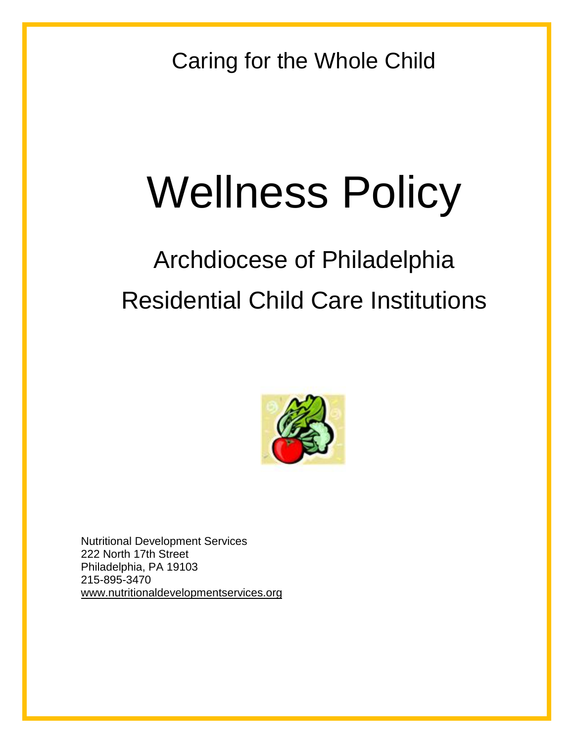Caring for the Whole Child

# Wellness Policy

# Archdiocese of Philadelphia Residential Child Care Institutions



Nutritional Development Services 222 North 17th Street Philadelphia, PA 19103 215-895-3470 [www.nutritionaldevelopmentservices.org](http://www.nutritionaldevelopmentservices.org/)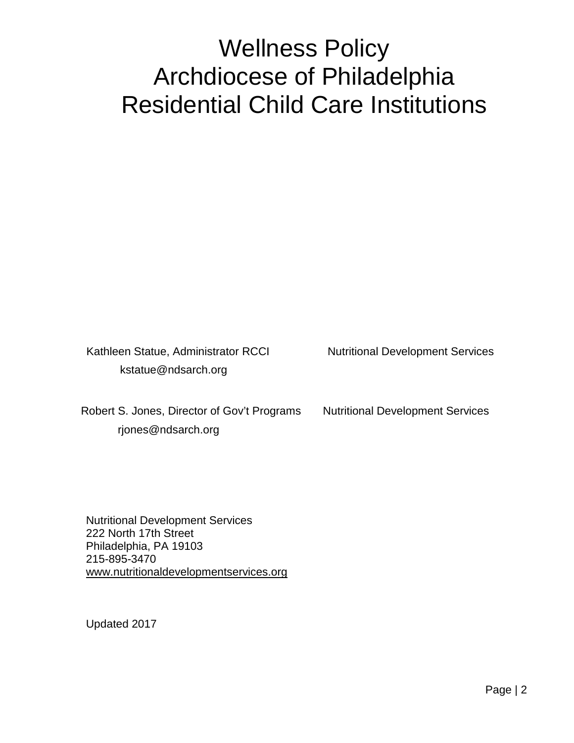## Wellness Policy Archdiocese of Philadelphia Residential Child Care Institutions

Kathleen Statue, Administrator RCCI Nutritional Development Services kstatue@ndsarch.org

Robert S. Jones, Director of Gov't Programs Nutritional Development Services rjones@ndsarch.org

Nutritional Development Services 222 North 17th Street Philadelphia, PA 19103 215-895-3470 [www.nutritionaldevelopmentservices.org](http://www.nutritionaldevelopmentservices.org/)

Updated 2017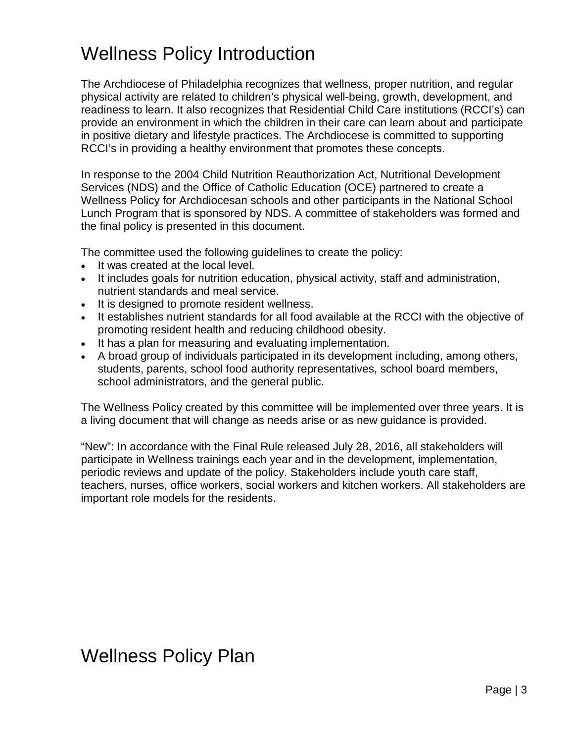### Wellness Policy Introduction

The Archdiocese of Philadelphia recognizes that wellness, proper nutrition, and regular physical activity are related to children's physical well-being, growth, development, and readiness to learn. It also recognizes that Residential Child Care institutions (RCCI's) can provide an environment in which the children in their care can learn about and participate in positive dietary and lifestyle practices. The Archdiocese is committed to supporting RCCI's in providing a healthy environment that promotes these concepts.

In response to the 2004 Child Nutrition Reauthorization Act, Nutritional Development Services (NDS) and the Office of Catholic Education (OCE) partnered to create a Wellness Policy for Archdiocesan schools and other participants in the National School Lunch Program that is sponsored by NDS. A committee of stakeholders was formed and the final policy is presented in this document.

The committee used the following guidelines to create the policy:

- It was created at the local level.
- It includes goals for nutrition education, physical activity, staff and administration, nutrient standards and meal service.
- It is designed to promote resident wellness.
- It establishes nutrient standards for all food available at the RCCI with the objective of promoting resident health and reducing childhood obesity.
- It has a plan for measuring and evaluating implementation.
- A broad group of individuals participated in its development including, among others, students, parents, school food authority representatives, school board members, school administrators, and the general public.

The Wellness Policy created by this committee will be implemented over three years. It is a living document that will change as needs arise or as new guidance is provided.

"New": In accordance with the Final Rule released July 28, 2016, all stakeholders will participate in Wellness trainings each year and in the development, implementation, periodic reviews and update of the policy. Stakeholders include youth care staff, teachers, nurses, office workers, social workers and kitchen workers. All stakeholders are important role models for the residents.

### Wellness Policy Plan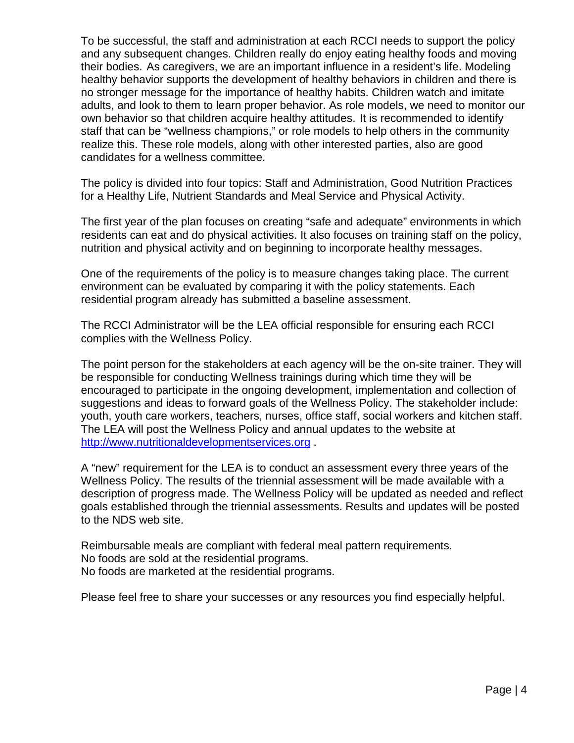To be successful, the staff and administration at each RCCI needs to support the policy and any subsequent changes. Children really do enjoy eating healthy foods and moving their bodies. As caregivers, we are an important influence in a resident's life. Modeling healthy behavior supports the development of healthy behaviors in children and there is no stronger message for the importance of healthy habits. Children watch and imitate adults, and look to them to learn proper behavior. As role models, we need to monitor our own behavior so that children acquire healthy attitudes. It is recommended to identify staff that can be "wellness champions," or role models to help others in the community realize this. These role models, along with other interested parties, also are good candidates for a wellness committee.

The policy is divided into four topics: Staff and Administration, Good Nutrition Practices for a Healthy Life, Nutrient Standards and Meal Service and Physical Activity.

The first year of the plan focuses on creating "safe and adequate" environments in which residents can eat and do physical activities. It also focuses on training staff on the policy, nutrition and physical activity and on beginning to incorporate healthy messages.

One of the requirements of the policy is to measure changes taking place. The current environment can be evaluated by comparing it with the policy statements. Each residential program already has submitted a baseline assessment.

The RCCI Administrator will be the LEA official responsible for ensuring each RCCI complies with the Wellness Policy.

The point person for the stakeholders at each agency will be the on-site trainer. They will be responsible for conducting Wellness trainings during which time they will be encouraged to participate in the ongoing development, implementation and collection of suggestions and ideas to forward goals of the Wellness Policy. The stakeholder include: youth, youth care workers, teachers, nurses, office staff, social workers and kitchen staff. The LEA will post the Wellness Policy and annual updates to the website at [http://www.nutritionaldevelopmentservices.org](http://www.nutritionaldevelopmentservices.org/) .

A "new" requirement for the LEA is to conduct an assessment every three years of the Wellness Policy. The results of the triennial assessment will be made available with a description of progress made. The Wellness Policy will be updated as needed and reflect goals established through the triennial assessments. Results and updates will be posted to the NDS web site.

Reimbursable meals are compliant with federal meal pattern requirements. No foods are sold at the residential programs. No foods are marketed at the residential programs.

Please feel free to share your successes or any resources you find especially helpful.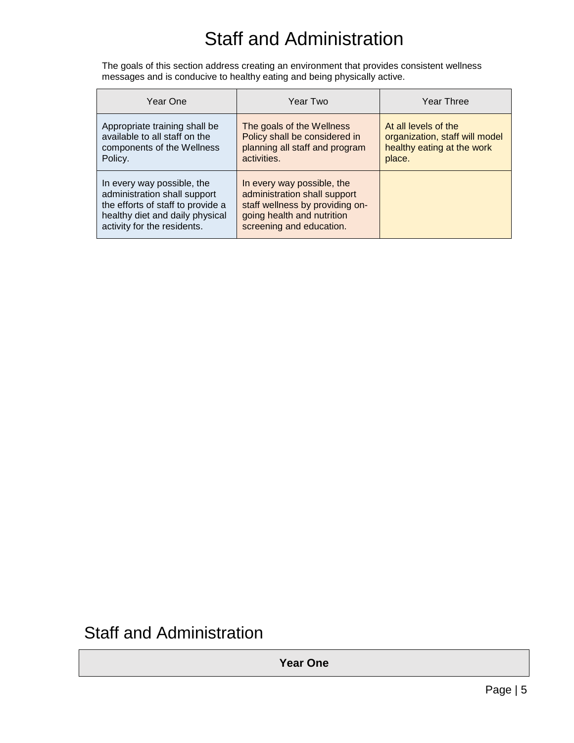### Staff and Administration

The goals of this section address creating an environment that provides consistent wellness messages and is conducive to healthy eating and being physically active.

| Year One                                                                                                                                                          | Year Two                                                                                                                                                | Year Three                                                                                     |
|-------------------------------------------------------------------------------------------------------------------------------------------------------------------|---------------------------------------------------------------------------------------------------------------------------------------------------------|------------------------------------------------------------------------------------------------|
| Appropriate training shall be<br>available to all staff on the<br>components of the Wellness<br>Policy.                                                           | The goals of the Wellness<br>Policy shall be considered in<br>planning all staff and program<br>activities.                                             | At all levels of the<br>organization, staff will model<br>healthy eating at the work<br>place. |
| In every way possible, the<br>administration shall support<br>the efforts of staff to provide a<br>healthy diet and daily physical<br>activity for the residents. | In every way possible, the<br>administration shall support<br>staff wellness by providing on-<br>going health and nutrition<br>screening and education. |                                                                                                |

### Staff and Administration

**Year One**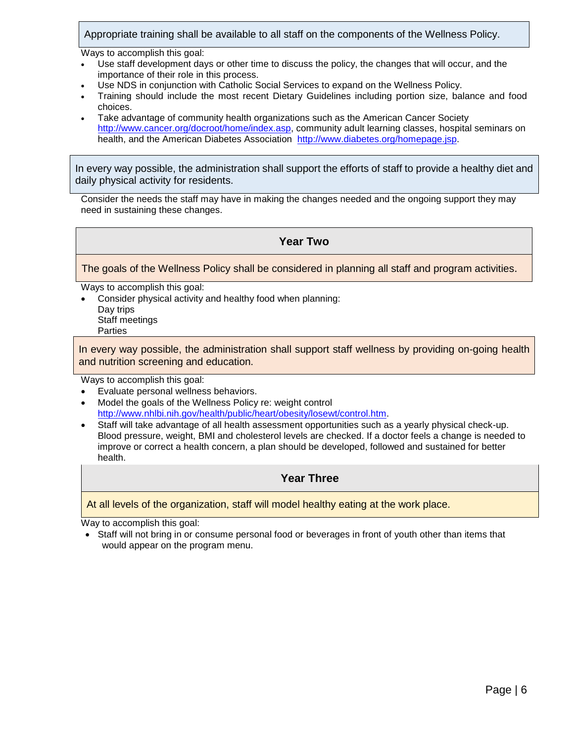Appropriate training shall be available to all staff on the components of the Wellness Policy.

Ways to accomplish this goal:

- Use staff development days or other time to discuss the policy, the changes that will occur, and the importance of their role in this process.
- Use NDS in conjunction with Catholic Social Services to expand on the Wellness Policy.
- Training should include the most recent Dietary Guidelines including portion size, balance and food choices.
- Take advantage of community health organizations such as the American Cancer Society [http://www.cancer.org/docroot/home/index.asp,](http://www.cancer.org/docroot/home/index.asp) community adult learning classes, hospital seminars on health, and the American Diabetes Association [http://www.diabetes.org/homepage.jsp.](http://www.diabetes.org/homepage.jsp)

In every way possible, the administration shall support the efforts of staff to provide a healthy diet and daily physical activity for residents.

Consider the needs the staff may have in making the changes needed and the ongoing support they may need in sustaining these changes.

#### **Year Two**

The goals of the Wellness Policy shall be considered in planning all staff and program activities.

Ways to accomplish this goal:

• Consider physical activity and healthy food when planning: Day trips Staff meetings Parties

In every way possible, the administration shall support staff wellness by providing on-going health and nutrition screening and education.

Ways to accomplish this goal:

- Evaluate personal wellness behaviors.
- Model the goals of the Wellness Policy re: weight control [http://www.nhlbi.nih.gov/health/public/heart/obesity/losewt/control.htm.](http://www.nhlbi.nih.gov/health/public/heart/obesity/losewt/control.htm)
- Staff will take advantage of all health assessment opportunities such as a yearly physical check-up. Blood pressure, weight, BMI and cholesterol levels are checked. If a doctor feels a change is needed to improve or correct a health concern, a plan should be developed, followed and sustained for better health.

#### **Year Three**

At all levels of the organization, staff will model healthy eating at the work place.

Way to accomplish this goal:

• Staff will not bring in or consume personal food or beverages in front of youth other than items that would appear on the program menu.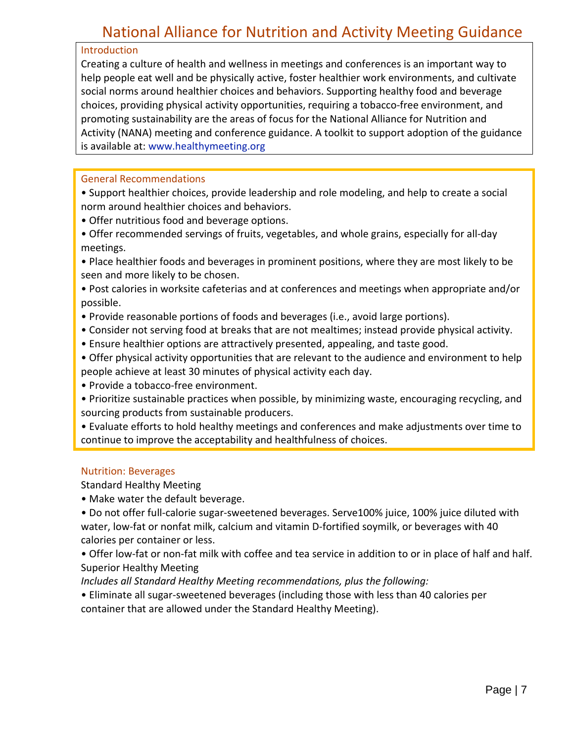### National Alliance for Nutrition and Activity Meeting Guidance

#### Introduction

Creating a culture of health and wellness in meetings and conferences is an important way to help people eat well and be physically active, foster healthier work environments, and cultivate social norms around healthier choices and behaviors. Supporting healthy food and beverage choices, providing physical activity opportunities, requiring a tobacco-free environment, and promoting sustainability are the areas of focus for the National Alliance for Nutrition and Activity (NANA) meeting and conference guidance. A toolkit to support adoption of the guidance is available at: www.healthymeeting.org

#### General Recommendations

• Support healthier choices, provide leadership and role modeling, and help to create a social norm around healthier choices and behaviors.

- Offer nutritious food and beverage options.
- Offer recommended servings of fruits, vegetables, and whole grains, especially for all-day meetings.
- Place healthier foods and beverages in prominent positions, where they are most likely to be seen and more likely to be chosen.
- Post calories in worksite cafeterias and at conferences and meetings when appropriate and/or possible.
- Provide reasonable portions of foods and beverages (i.e., avoid large portions).
- Consider not serving food at breaks that are not mealtimes; instead provide physical activity.
- Ensure healthier options are attractively presented, appealing, and taste good.
- Offer physical activity opportunities that are relevant to the audience and environment to help people achieve at least 30 minutes of physical activity each day.
- Provide a tobacco-free environment.
- Prioritize sustainable practices when possible, by minimizing waste, encouraging recycling, and sourcing products from sustainable producers.
- Evaluate efforts to hold healthy meetings and conferences and make adjustments over time to continue to improve the acceptability and healthfulness of choices.

#### Nutrition: Beverages

Standard Healthy Meeting

• Make water the default beverage.

• Do not offer full-calorie sugar-sweetened beverages. Serve100% juice, 100% juice diluted with water, low-fat or nonfat milk, calcium and vitamin D-fortified soymilk, or beverages with 40 calories per container or less.

• Offer low-fat or non-fat milk with coffee and tea service in addition to or in place of half and half. Superior Healthy Meeting

*Includes all Standard Healthy Meeting recommendations, plus the following:*

• Eliminate all sugar-sweetened beverages (including those with less than 40 calories per container that are allowed under the Standard Healthy Meeting).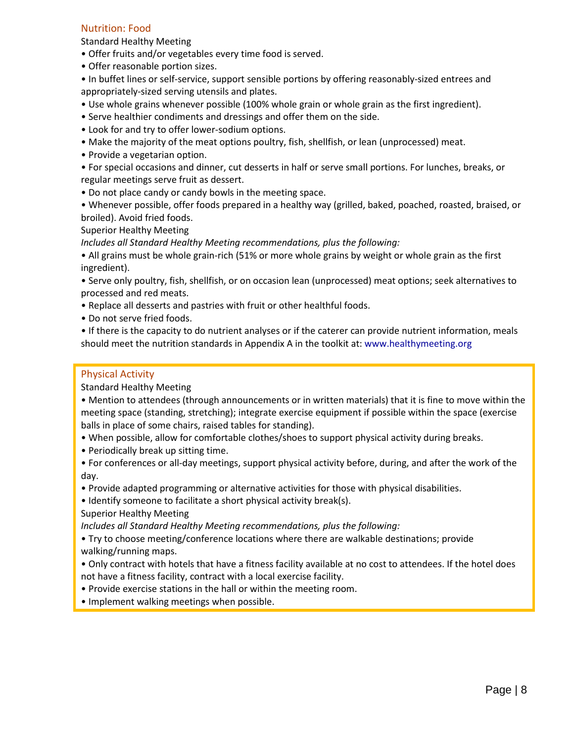#### Nutrition: Food

Standard Healthy Meeting

- Offer fruits and/or vegetables every time food is served.
- Offer reasonable portion sizes.
- In buffet lines or self-service, support sensible portions by offering reasonably-sized entrees and appropriately-sized serving utensils and plates.
- Use whole grains whenever possible (100% whole grain or whole grain as the first ingredient).
- Serve healthier condiments and dressings and offer them on the side.
- Look for and try to offer lower-sodium options.
- Make the majority of the meat options poultry, fish, shellfish, or lean (unprocessed) meat.
- Provide a vegetarian option.
- For special occasions and dinner, cut desserts in half or serve small portions. For lunches, breaks, or regular meetings serve fruit as dessert.
- Do not place candy or candy bowls in the meeting space.
- Whenever possible, offer foods prepared in a healthy way (grilled, baked, poached, roasted, braised, or broiled). Avoid fried foods.

Superior Healthy Meeting

*Includes all Standard Healthy Meeting recommendations, plus the following:*

• All grains must be whole grain-rich (51% or more whole grains by weight or whole grain as the first ingredient).

• Serve only poultry, fish, shellfish, or on occasion lean (unprocessed) meat options; seek alternatives to processed and red meats.

- Replace all desserts and pastries with fruit or other healthful foods.
- Do not serve fried foods.

• If there is the capacity to do nutrient analyses or if the caterer can provide nutrient information, meals should meet the nutrition standards in Appendix A in the toolkit at: www.healthymeeting.org

#### Physical Activity

Standard Healthy Meeting

- Mention to attendees (through announcements or in written materials) that it is fine to move within the meeting space (standing, stretching); integrate exercise equipment if possible within the space (exercise balls in place of some chairs, raised tables for standing).
- When possible, allow for comfortable clothes/shoes to support physical activity during breaks.
- Periodically break up sitting time.
- For conferences or all-day meetings, support physical activity before, during, and after the work of the day.
- Provide adapted programming or alternative activities for those with physical disabilities.
- Identify someone to facilitate a short physical activity break(s).

Superior Healthy Meeting

*Includes all Standard Healthy Meeting recommendations, plus the following:*

• Try to choose meeting/conference locations where there are walkable destinations; provide walking/running maps.

- Only contract with hotels that have a fitness facility available at no cost to attendees. If the hotel does not have a fitness facility, contract with a local exercise facility.
- Provide exercise stations in the hall or within the meeting room.
- Implement walking meetings when possible.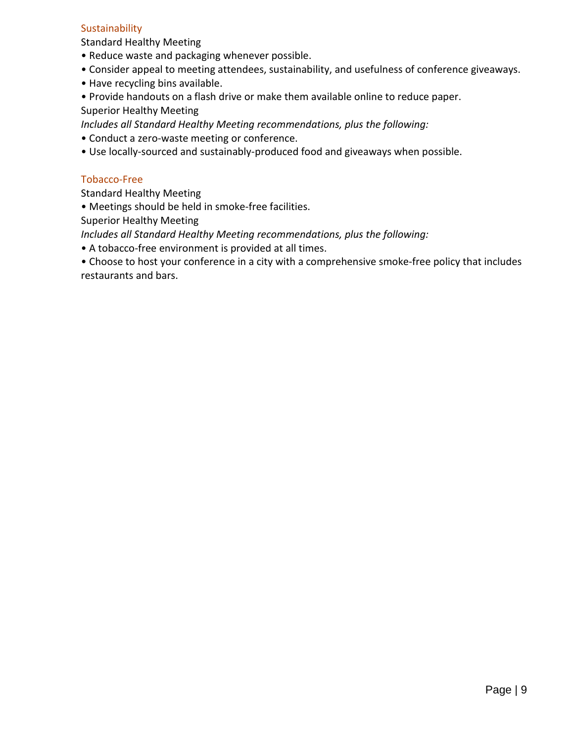### **Sustainability**

Standard Healthy Meeting

- Reduce waste and packaging whenever possible.
- Consider appeal to meeting attendees, sustainability, and usefulness of conference giveaways.
- Have recycling bins available.
- Provide handouts on a flash drive or make them available online to reduce paper. Superior Healthy Meeting

*Includes all Standard Healthy Meeting recommendations, plus the following:*

- Conduct a zero-waste meeting or conference.
- Use locally-sourced and sustainably-produced food and giveaways when possible.

#### Tobacco-Free

Standard Healthy Meeting

• Meetings should be held in smoke-free facilities.

Superior Healthy Meeting

*Includes all Standard Healthy Meeting recommendations, plus the following:*

• A tobacco-free environment is provided at all times.

• Choose to host your conference in a city with a comprehensive smoke-free policy that includes restaurants and bars.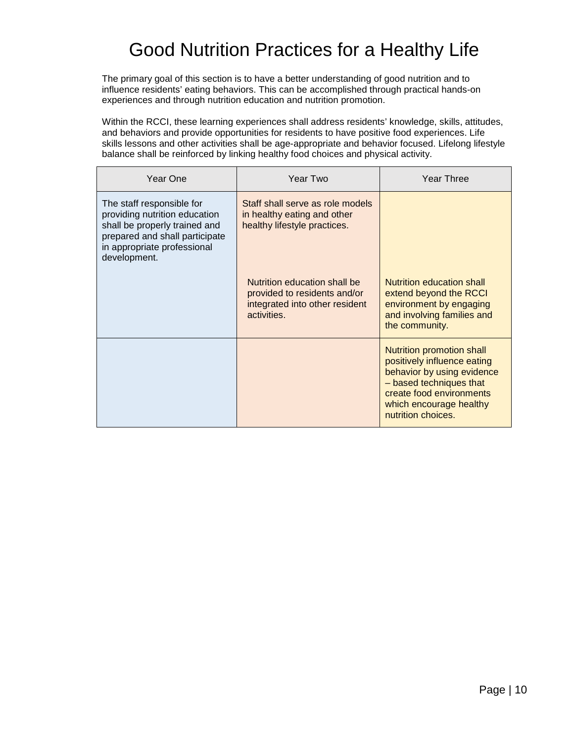### Good Nutrition Practices for a Healthy Life

The primary goal of this section is to have a better understanding of good nutrition and to influence residents' eating behaviors. This can be accomplished through practical hands-on experiences and through nutrition education and nutrition promotion.

Within the RCCI, these learning experiences shall address residents' knowledge, skills, attitudes, and behaviors and provide opportunities for residents to have positive food experiences. Life skills lessons and other activities shall be age-appropriate and behavior focused. Lifelong lifestyle balance shall be reinforced by linking healthy food choices and physical activity.

| Year One                                                                                                                                                                     | Year Two                                                                                                      | Year Three                                                                                                                                                                                     |
|------------------------------------------------------------------------------------------------------------------------------------------------------------------------------|---------------------------------------------------------------------------------------------------------------|------------------------------------------------------------------------------------------------------------------------------------------------------------------------------------------------|
| The staff responsible for<br>providing nutrition education<br>shall be properly trained and<br>prepared and shall participate<br>in appropriate professional<br>development. | Staff shall serve as role models<br>in healthy eating and other<br>healthy lifestyle practices.               |                                                                                                                                                                                                |
|                                                                                                                                                                              | Nutrition education shall be<br>provided to residents and/or<br>integrated into other resident<br>activities. | <b>Nutrition education shall</b><br>extend beyond the RCCI<br>environment by engaging<br>and involving families and<br>the community.                                                          |
|                                                                                                                                                                              |                                                                                                               | Nutrition promotion shall<br>positively influence eating<br>behavior by using evidence<br>- based techniques that<br>create food environments<br>which encourage healthy<br>nutrition choices. |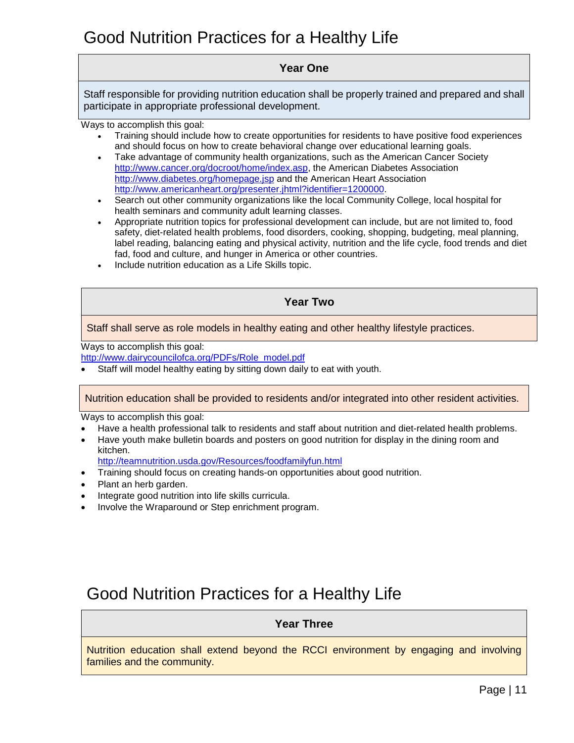### Good Nutrition Practices for a Healthy Life

### **Year One**

Staff responsible for providing nutrition education shall be properly trained and prepared and shall participate in appropriate professional development.

Ways to accomplish this goal:

- Training should include how to create opportunities for residents to have positive food experiences and should focus on how to create behavioral change over educational learning goals.
- Take advantage of community health organizations, such as the American Cancer Society [http://www.cancer.org/docroot/home/index.asp,](http://www.cancer.org/docroot/home/index.asp) the American Diabetes Association <http://www.diabetes.org/homepage.jsp> and the American Heart Association [http://www.americanheart.org/presenter.jhtml?identifier=1200000.](http://www.americanheart.org/presenter.jhtml?identifier=1200000)
- Search out other community organizations like the local Community College, local hospital for health seminars and community adult learning classes.
- Appropriate nutrition topics for professional development can include, but are not limited to, food safety, diet-related health problems, food disorders, cooking, shopping, budgeting, meal planning, label reading, balancing eating and physical activity, nutrition and the life cycle, food trends and diet fad, food and culture, and hunger in America or other countries.
- Include nutrition education as a Life Skills topic.

#### **Year Two**

Staff shall serve as role models in healthy eating and other healthy lifestyle practices.

Ways to accomplish this goal:

[http://www.dairycouncilofca.org/PDFs/Role\\_model.pdf](http://www.dairycouncilofca.org/PDFs/Role_model.pdf)

Staff will model healthy eating by sitting down daily to eat with youth.

Nutrition education shall be provided to residents and/or integrated into other resident activities.

Ways to accomplish this goal:

- Have a health professional talk to residents and staff about nutrition and diet-related health problems.
- Have youth make bulletin boards and posters on good nutrition for display in the dining room and kitchen.

<http://teamnutrition.usda.gov/Resources/foodfamilyfun.html>

- Training should focus on creating hands-on opportunities about good nutrition.
- Plant an herb garden.
- Integrate good nutrition into life skills curricula.
- Involve the Wraparound or Step enrichment program.

### Good Nutrition Practices for a Healthy Life

### **Year Three**

Nutrition education shall extend beyond the RCCI environment by engaging and involving families and the community.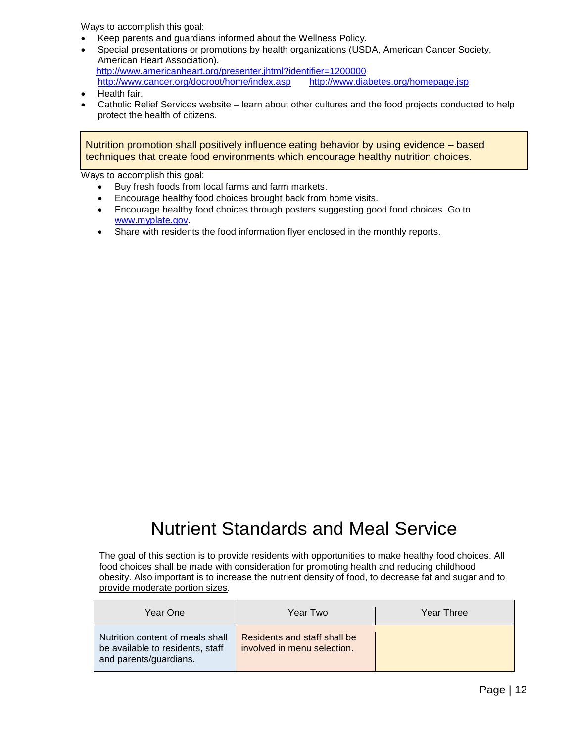Ways to accomplish this goal:

- Keep parents and guardians informed about the Wellness Policy.
- Special presentations or promotions by health organizations (USDA, American Cancer Society, American Heart Association). <http://www.americanheart.org/presenter.jhtml?identifier=1200000> <http://www.cancer.org/docroot/home/index.asp><http://www.diabetes.org/homepage.jsp>
- Health fair.
- Catholic Relief Services website learn about other cultures and the food projects conducted to help protect the health of citizens.

Nutrition promotion shall positively influence eating behavior by using evidence – based techniques that create food environments which encourage healthy nutrition choices.

Ways to accomplish this goal:

- Buy fresh foods from local farms and farm markets.
- Encourage healthy food choices brought back from home visits.
- Encourage healthy food choices through posters suggesting good food choices. Go to [www.myplate.gov.](http://www.myplate.gov/)
- Share with residents the food information flyer enclosed in the monthly reports.

### Nutrient Standards and Meal Service

The goal of this section is to provide residents with opportunities to make healthy food choices. All food choices shall be made with consideration for promoting health and reducing childhood obesity. Also important is to increase the nutrient density of food, to decrease fat and sugar and to provide moderate portion sizes.

| Year One                                                                                       | Year Two                                                    | Year Three |
|------------------------------------------------------------------------------------------------|-------------------------------------------------------------|------------|
| Nutrition content of meals shall<br>be available to residents, staff<br>and parents/guardians. | Residents and staff shall be<br>involved in menu selection. |            |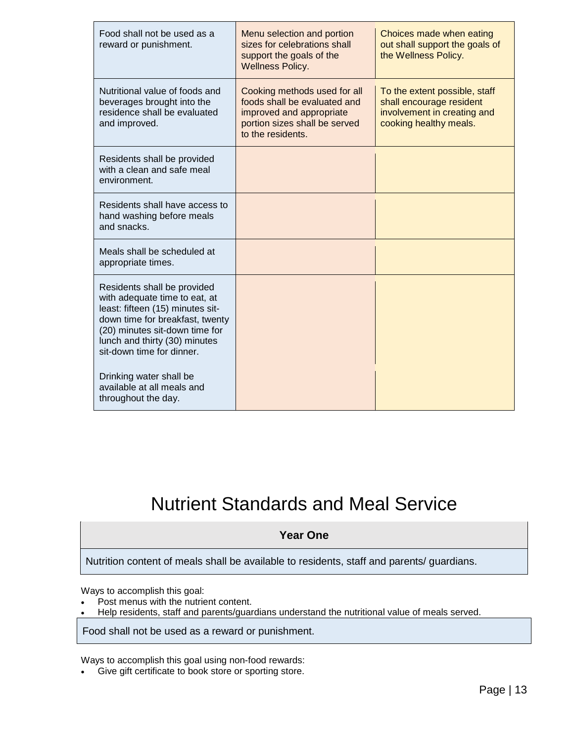| Food shall not be used as a<br>reward or punishment.                                                                                                                                                                                | Menu selection and portion<br>sizes for celebrations shall<br>support the goals of the<br><b>Wellness Policy.</b>                              | Choices made when eating<br>out shall support the goals of<br>the Wellness Policy.                                 |
|-------------------------------------------------------------------------------------------------------------------------------------------------------------------------------------------------------------------------------------|------------------------------------------------------------------------------------------------------------------------------------------------|--------------------------------------------------------------------------------------------------------------------|
| Nutritional value of foods and<br>beverages brought into the<br>residence shall be evaluated<br>and improved.                                                                                                                       | Cooking methods used for all<br>foods shall be evaluated and<br>improved and appropriate<br>portion sizes shall be served<br>to the residents. | To the extent possible, staff<br>shall encourage resident<br>involvement in creating and<br>cooking healthy meals. |
| Residents shall be provided<br>with a clean and safe meal<br>environment.                                                                                                                                                           |                                                                                                                                                |                                                                                                                    |
| Residents shall have access to<br>hand washing before meals<br>and snacks.                                                                                                                                                          |                                                                                                                                                |                                                                                                                    |
| Meals shall be scheduled at<br>appropriate times.                                                                                                                                                                                   |                                                                                                                                                |                                                                                                                    |
| Residents shall be provided<br>with adequate time to eat, at<br>least: fifteen (15) minutes sit-<br>down time for breakfast, twenty<br>(20) minutes sit-down time for<br>lunch and thirty (30) minutes<br>sit-down time for dinner. |                                                                                                                                                |                                                                                                                    |
| Drinking water shall be<br>available at all meals and<br>throughout the day.                                                                                                                                                        |                                                                                                                                                |                                                                                                                    |

### Nutrient Standards and Meal Service

### **Year One**

Nutrition content of meals shall be available to residents, staff and parents/ guardians.

Ways to accomplish this goal:

- Post menus with the nutrient content.
- Help residents, staff and parents/guardians understand the nutritional value of meals served.

Food shall not be used as a reward or punishment.

Ways to accomplish this goal using non-food rewards:

• Give gift certificate to book store or sporting store.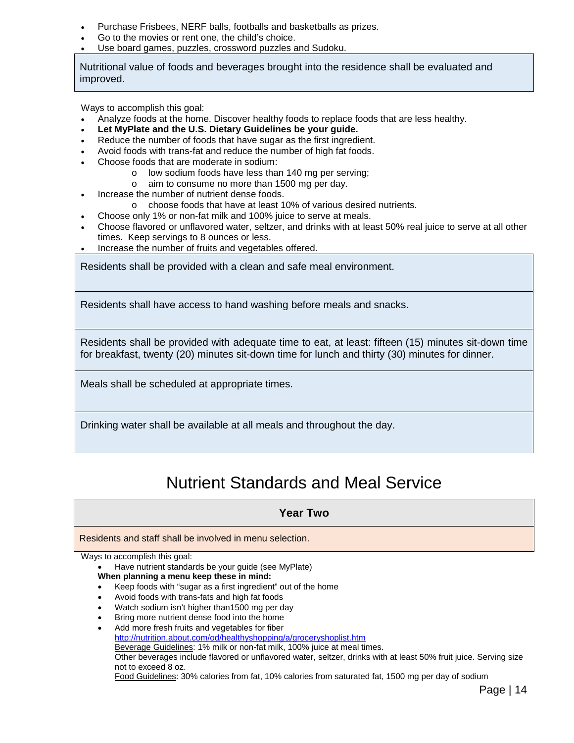- Purchase Frisbees, NERF balls, footballs and basketballs as prizes.
- Go to the movies or rent one, the child's choice.
- Use board games, puzzles, crossword puzzles and Sudoku.

Nutritional value of foods and beverages brought into the residence shall be evaluated and improved.

Ways to accomplish this goal:

- Analyze foods at the home. Discover healthy foods to replace foods that are less healthy.
- **Let MyPlate and the U.S. Dietary Guidelines be your guide.**
- Reduce the number of foods that have sugar as the first ingredient.
- Avoid foods with trans-fat and reduce the number of high fat foods.
- Choose foods that are moderate in sodium:
	- o low sodium foods have less than 140 mg per serving;
	- o aim to consume no more than 1500 mg per day.
- Increase the number of nutrient dense foods.
	- o choose foods that have at least 10% of various desired nutrients.
- Choose only 1% or non-fat milk and 100% juice to serve at meals.
- Choose flavored or unflavored water, seltzer, and drinks with at least 50% real juice to serve at all other times. Keep servings to 8 ounces or less.
- Increase the number of fruits and vegetables offered.

Residents shall be provided with a clean and safe meal environment.

Residents shall have access to hand washing before meals and snacks.

Residents shall be provided with adequate time to eat, at least: fifteen (15) minutes sit-down time for breakfast, twenty (20) minutes sit-down time for lunch and thirty (30) minutes for dinner.

Meals shall be scheduled at appropriate times.

Drinking water shall be available at all meals and throughout the day.

### Nutrient Standards and Meal Service

### **Year Two**

Residents and staff shall be involved in menu selection.

Ways to accomplish this goal:

• Have nutrient standards be your guide (see MyPlate) **When planning a menu keep these in mind:**

- Keep foods with "sugar as a first ingredient" out of the home
- Avoid foods with trans-fats and high fat foods
- Watch sodium isn't higher than1500 mg per day
- Bring more nutrient dense food into the home
- Add more fresh fruits and vegetables for fiber <http://nutrition.about.com/od/healthyshopping/a/groceryshoplist.htm> Beverage Guidelines: 1% milk or non-fat milk, 100% juice at meal times. Other beverages include flavored or unflavored water, seltzer, drinks with at least 50% fruit juice. Serving size not to exceed 8 oz. Food Guidelines: 30% calories from fat, 10% calories from saturated fat, 1500 mg per day of sodium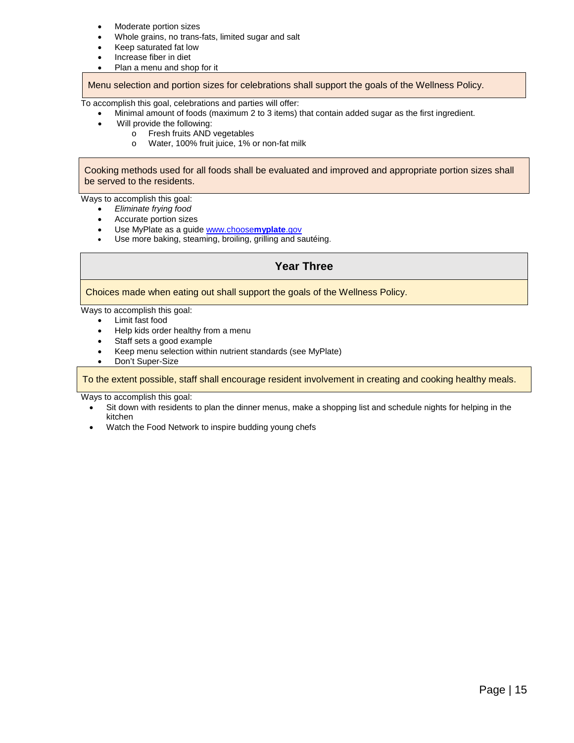- Moderate portion sizes
- Whole grains, no trans-fats, limited sugar and salt
- Keep saturated fat low
- Increase fiber in diet
- Plan a menu and shop for it

Menu selection and portion sizes for celebrations shall support the goals of the Wellness Policy.

To accomplish this goal, celebrations and parties will offer:

- Minimal amount of foods (maximum 2 to 3 items) that contain added sugar as the first ingredient.
- Will provide the following:
	- o Fresh fruits AND vegetables<br>
	o Water, 100% fruit juice, 1% o
	- Water, 100% fruit juice, 1% or non-fat milk

Cooking methods used for all foods shall be evaluated and improved and appropriate portion sizes shall be served to the residents.

Ways to accomplish this goal:

- *Eliminate frying food*
- Accurate portion sizes
- Use MyPlate as a guide [www.choose](http://www.choosemyplate.gov/)**myplate**.gov
- Use more baking, steaming, broiling, grilling and sautéing.

#### **Year Three**

#### Choices made when eating out shall support the goals of the Wellness Policy.

- Ways to accomplish this goal:
	- Limit fast food
	- Help kids order healthy from a menu
	- Staff sets a good example
	- Keep menu selection within nutrient standards (see MyPlate)
	- Don't Super-Size

To the extent possible, staff shall encourage resident involvement in creating and cooking healthy meals.

Ways to accomplish this goal:

- Sit down with residents to plan the dinner menus, make a shopping list and schedule nights for helping in the kitchen
- Watch the Food Network to inspire budding young chefs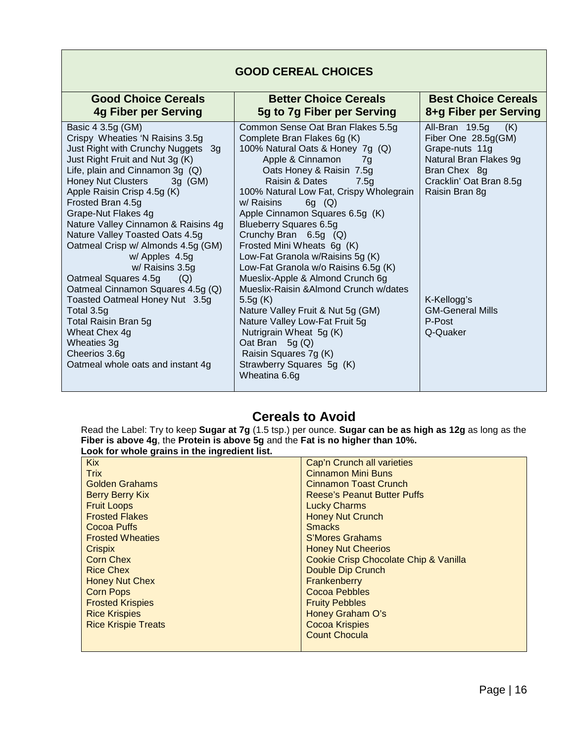### **GOOD CEREAL CHOICES**

| <b>Good Choice Cereals</b>                   | <b>Better Choice Cereals</b>                                               | <b>Best Choice Cereals</b> |
|----------------------------------------------|----------------------------------------------------------------------------|----------------------------|
| <b>4g Fiber per Serving</b>                  | 5g to 7g Fiber per Serving                                                 | 8+g Fiber per Serving      |
| Basic 4 3.5g (GM)                            | Common Sense Oat Bran Flakes 5.5g                                          | All-Bran 19.5g<br>(K)      |
| Crispy Wheaties 'N Raisins 3.5g              | Complete Bran Flakes 6g (K)                                                | Fiber One 28.5g(GM)        |
| Just Right with Crunchy Nuggets 3g           | 100% Natural Oats & Honey 7g (Q)                                           | Grape-nuts 11g             |
| Just Right Fruit and Nut 3g (K)              | Apple & Cinnamon<br>7a                                                     | Natural Bran Flakes 9g     |
| Life, plain and Cinnamon 3g $(Q)$            | Oats Honey & Raisin 7.5g                                                   | Bran Chex 8g               |
| Honey Nut Clusters<br>3g (GM)                | Raisin & Dates<br>7.5g                                                     | Cracklin' Oat Bran 8.5g    |
| Apple Raisin Crisp 4.5g (K)                  | 100% Natural Low Fat, Crispy Wholegrain                                    | Raisin Bran 8g             |
| Frosted Bran 4.5g                            | $6g$ (Q)<br>w/ Raisins                                                     |                            |
| Grape-Nut Flakes 4g                          | Apple Cinnamon Squares 6.5g (K)                                            |                            |
| Nature Valley Cinnamon & Raisins 4g          | <b>Blueberry Squares 6.5g</b>                                              |                            |
| Nature Valley Toasted Oats 4.5g              | Crunchy Bran 6.5g (Q)                                                      |                            |
| Oatmeal Crisp w/ Almonds 4.5g (GM)           | Frosted Mini Wheats 6g (K)                                                 |                            |
| w/ Apples 4.5g                               | Low-Fat Granola w/Raisins 5g (K)                                           |                            |
| w/ Raisins 3.5g                              | Low-Fat Granola w/o Raisins 6.5g (K)                                       |                            |
| Oatmeal Squares 4.5g<br>(Q)                  | Mueslix-Apple & Almond Crunch 6g<br>Mueslix-Raisin & Almond Crunch w/dates |                            |
| Oatmeal Cinnamon Squares 4.5g (Q)            |                                                                            | K-Kellogg's                |
| Toasted Oatmeal Honey Nut 3.5g<br>Total 3.5g | 5.5g $(K)$<br>Nature Valley Fruit & Nut 5g (GM)                            | <b>GM-General Mills</b>    |
| Total Raisin Bran 5g                         | Nature Valley Low-Fat Fruit 5g                                             | P-Post                     |
| Wheat Chex 4g                                | Nutrigrain Wheat 5g (K)                                                    | Q-Quaker                   |
| Wheaties 3g                                  | Oat Bran $5g(Q)$                                                           |                            |
| Cheerios 3.6g                                | Raisin Squares 7g (K)                                                      |                            |
| Oatmeal whole oats and instant 4g            | Strawberry Squares 5g (K)                                                  |                            |
|                                              | Wheatina 6.6g                                                              |                            |
|                                              |                                                                            |                            |

### **Cereals to Avoid**

Read the Label: Try to keep **Sugar at 7g** (1.5 tsp.) per ounce. **Sugar can be as high as 12g** as long as the **Fiber is above 4g**, the **Protein is above 5g** and the **Fat is no higher than 10%. Look for whole grains in the ingredient list.**

| <b>Kix</b>                 | Cap'n Crunch all varieties            |
|----------------------------|---------------------------------------|
| <b>Trix</b>                | <b>Cinnamon Mini Buns</b>             |
| <b>Golden Grahams</b>      | <b>Cinnamon Toast Crunch</b>          |
| <b>Berry Berry Kix</b>     | <b>Reese's Peanut Butter Puffs</b>    |
| <b>Fruit Loops</b>         | <b>Lucky Charms</b>                   |
| <b>Frosted Flakes</b>      | <b>Honey Nut Crunch</b>               |
| Cocoa Puffs                | <b>Smacks</b>                         |
| <b>Frosted Wheaties</b>    | S'Mores Grahams                       |
| <b>Crispix</b>             | <b>Honey Nut Cheerios</b>             |
| <b>Corn Chex</b>           | Cookie Crisp Chocolate Chip & Vanilla |
| <b>Rice Chex</b>           | Double Dip Crunch                     |
| <b>Honey Nut Chex</b>      | Frankenberry                          |
| <b>Corn Pops</b>           | <b>Cocoa Pebbles</b>                  |
| <b>Frosted Krispies</b>    | <b>Fruity Pebbles</b>                 |
| <b>Rice Krispies</b>       | Honey Graham O's                      |
| <b>Rice Krispie Treats</b> | <b>Cocoa Krispies</b>                 |
|                            | <b>Count Chocula</b>                  |
|                            |                                       |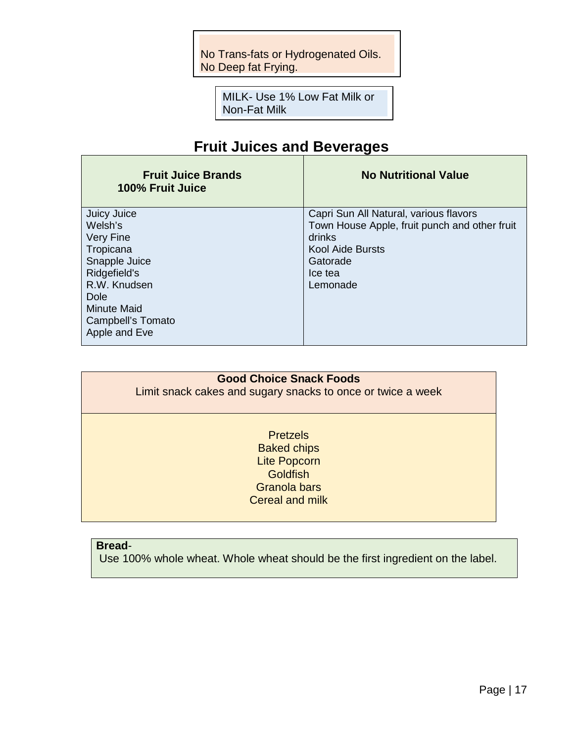No Trans-fats or Hydrogenated Oils. No Deep fat Frying.

> MILK- Use 1% Low Fat Milk or Non-Fat Milk

### **Fruit Juices and Beverages**

| <b>Fruit Juice Brands</b><br>100% Fruit Juice | <b>No Nutritional Value</b>                   |
|-----------------------------------------------|-----------------------------------------------|
| <b>Juicy Juice</b>                            | Capri Sun All Natural, various flavors        |
| Welsh's                                       | Town House Apple, fruit punch and other fruit |
| <b>Very Fine</b>                              | drinks                                        |
| Tropicana                                     | <b>Kool Aide Bursts</b>                       |
| Snapple Juice                                 | Gatorade                                      |
| Ridgefield's                                  | Ice tea                                       |
| R.W. Knudsen                                  | Lemonade                                      |
| Dole                                          |                                               |
| <b>Minute Maid</b>                            |                                               |
| Campbell's Tomato                             |                                               |
| Apple and Eve                                 |                                               |
|                                               |                                               |

### **Good Choice Snack Foods**

Limit snack cakes and sugary snacks to once or twice a week

**Pretzels** Baked chips Lite Popcorn **Goldfish** Granola bars Cereal and milk

### **Bread**-

Use 100% whole wheat. Whole wheat should be the first ingredient on the label.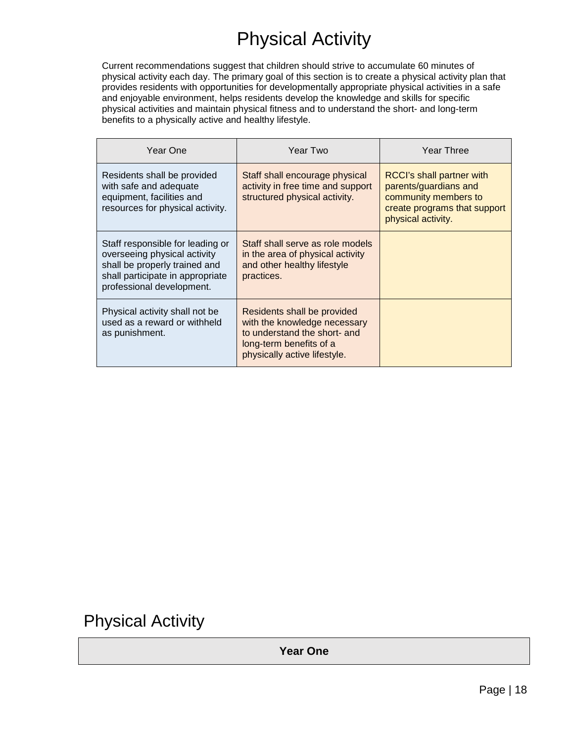### Physical Activity

Current recommendations suggest that children should strive to accumulate 60 minutes of physical activity each day. The primary goal of this section is to create a physical activity plan that provides residents with opportunities for developmentally appropriate physical activities in a safe and enjoyable environment, helps residents develop the knowledge and skills for specific physical activities and maintain physical fitness and to understand the short- and long-term benefits to a physically active and healthy lifestyle.

| Year One                                                                                                                                                           | Year Two                                                                                                                                               | Year Three                                                                                                                       |
|--------------------------------------------------------------------------------------------------------------------------------------------------------------------|--------------------------------------------------------------------------------------------------------------------------------------------------------|----------------------------------------------------------------------------------------------------------------------------------|
| Residents shall be provided<br>with safe and adequate<br>equipment, facilities and<br>resources for physical activity.                                             | Staff shall encourage physical<br>activity in free time and support<br>structured physical activity.                                                   | RCCI's shall partner with<br>parents/guardians and<br>community members to<br>create programs that support<br>physical activity. |
| Staff responsible for leading or<br>overseeing physical activity<br>shall be properly trained and<br>shall participate in appropriate<br>professional development. | Staff shall serve as role models<br>in the area of physical activity<br>and other healthy lifestyle<br>practices.                                      |                                                                                                                                  |
| Physical activity shall not be<br>used as a reward or withheld<br>as punishment.                                                                                   | Residents shall be provided<br>with the knowledge necessary<br>to understand the short- and<br>long-term benefits of a<br>physically active lifestyle. |                                                                                                                                  |

### Physical Activity

**Year One**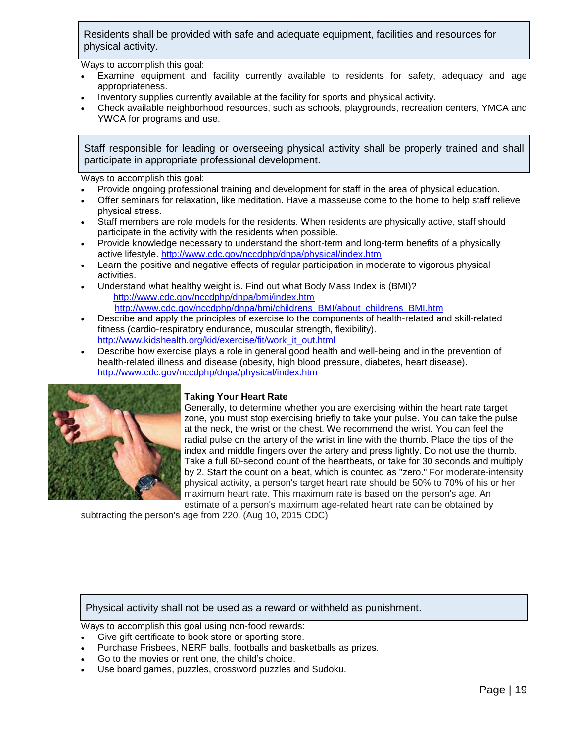Residents shall be provided with safe and adequate equipment, facilities and resources for physical activity.

Ways to accomplish this goal:

- Examine equipment and facility currently available to residents for safety, adequacy and age appropriateness.
- Inventory supplies currently available at the facility for sports and physical activity.
- Check available neighborhood resources, such as schools, playgrounds, recreation centers, YMCA and YWCA for programs and use.

Staff responsible for leading or overseeing physical activity shall be properly trained and shall participate in appropriate professional development.

Ways to accomplish this goal:

- Provide ongoing professional training and development for staff in the area of physical education.
- Offer seminars for relaxation, like meditation. Have a masseuse come to the home to help staff relieve physical stress.
- Staff members are role models for the residents. When residents are physically active, staff should participate in the activity with the residents when possible.
- Provide knowledge necessary to understand the short-term and long-term benefits of a physically active lifestyle. <http://www.cdc.gov/nccdphp/dnpa/physical/index.htm>
- Learn the positive and negative effects of regular participation in moderate to vigorous physical activities.
- Understand what healthy weight is. Find out what Body Mass Index is (BMI)? <http://www.cdc.gov/nccdphp/dnpa/bmi/index.htm> [http://www.cdc.gov/nccdphp/dnpa/bmi/childrens\\_BMI/about\\_childrens\\_BMI.htm](http://www.cdc.gov/nccdphp/dnpa/bmi/childrens_BMI/about_childrens_BMI.htm)
- Describe and apply the principles of exercise to the components of health-related and skill-related fitness (cardio-respiratory endurance, muscular strength, flexibility). [http://www.kidshealth.org/kid/exercise/fit/work\\_it\\_out.html](http://www.kidshealth.org/kid/exercise/fit/work_it_out.html)
- Describe how exercise plays a role in general good health and well-being and in the prevention of health-related illness and disease (obesity, high blood pressure, diabetes, heart disease). <http://www.cdc.gov/nccdphp/dnpa/physical/index.htm>



#### **Taking Your Heart Rate**

Generally, to determine whether you are exercising within the heart rate target zone, you must stop exercising briefly to take your pulse. You can take the pulse at the neck, the wrist or the chest. We recommend the wrist. You can feel the radial pulse on the artery of the wrist in line with the thumb. Place the tips of the index and middle fingers over the artery and press lightly. Do not use the thumb. Take a full 60-second count of the heartbeats, or take for 30 seconds and multiply by 2. Start the count on a beat, which is counted as "zero." For moderate-intensity physical activity, a person's target heart rate should be 50% to 70% of his or her maximum heart rate. This maximum rate is based on the person's age. An estimate of a person's maximum age-related heart rate can be obtained by

subtracting the person's age from 220. (Aug 10, 2015 CDC)

Physical activity shall not be used as a reward or withheld as punishment.

Ways to accomplish this goal using non-food rewards:

- Give gift certificate to book store or sporting store.
- Purchase Frisbees, NERF balls, footballs and basketballs as prizes.
- Go to the movies or rent one, the child's choice.
- Use board games, puzzles, crossword puzzles and Sudoku.